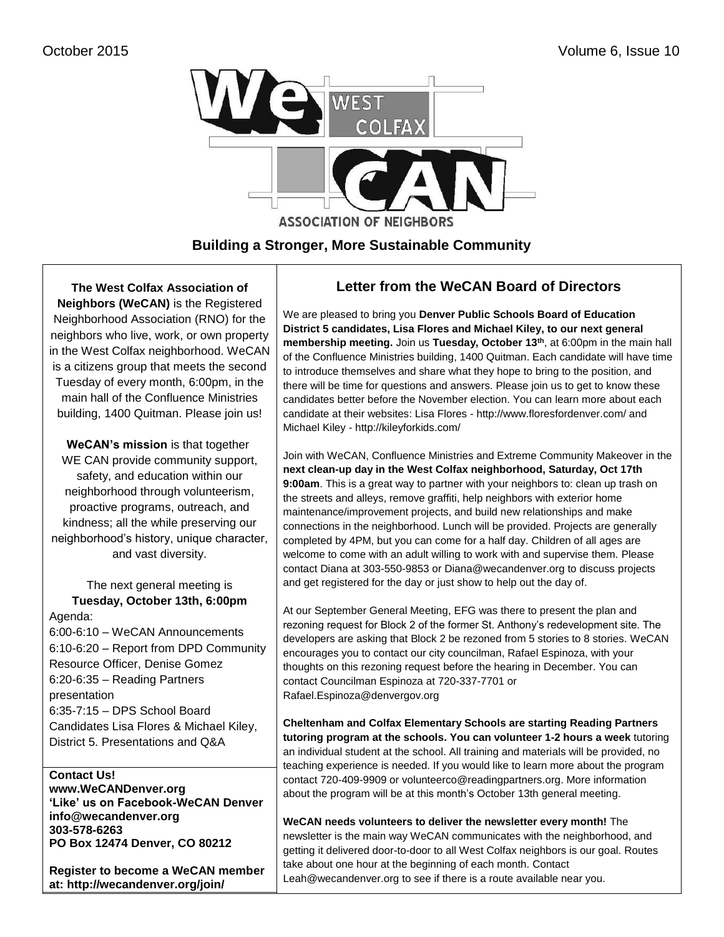

**Building a Stronger, More Sustainable Community**

## **The West Colfax Association of Neighbors (WeCAN)** is the Registered

Neighborhood Association (RNO) for the neighbors who live, work, or own property in the West Colfax neighborhood. WeCAN is a citizens group that meets the second Tuesday of every month, 6:00pm, in the main hall of the Confluence Ministries building, 1400 Quitman. Please join us!

**WeCAN's mission** is that together WE CAN provide community support, safety, and education within our neighborhood through volunteerism, proactive programs, outreach, and kindness; all the while preserving our neighborhood's history, unique character, and vast diversity.

The next general meeting is **Tuesday, October 13th, 6:00pm** Agenda: 6:00-6:10 – WeCAN Announcements 6:10-6:20 – Report from DPD Community Resource Officer, Denise Gomez 6:20-6:35 – Reading Partners presentation 6:35-7:15 – DPS School Board Candidates Lisa Flores & Michael Kiley,

District 5. Presentations and Q&A

## **Contact Us!**

**[www.WeCANDenver.org](http://www.wecandenver.org/) 'Like' us on Facebook-WeCAN Denver [info@wecandenver.org](mailto:info@wecandenver.org) 303-578-6263 PO Box 12474 Denver, CO 80212**

**Register to become a WeCAN member at: http://wecandenver.org/join/**

# **Letter from the WeCAN Board of Directors**

We are pleased to bring you **Denver Public Schools Board of Education District 5 candidates, Lisa Flores and Michael Kiley, to our next general membership meeting.** Join us **Tuesday, October 13th**, at 6:00pm in the main hall of the Confluence Ministries building, 1400 Quitman. Each candidate will have time to introduce themselves and share what they hope to bring to the position, and there will be time for questions and answers. Please join us to get to know these candidates better before the November election. You can learn more about each candidate at their websites: Lisa Flores - <http://www.floresfordenver.com/> and Michael Kiley - http://kileyforkids.com/

Join with WeCAN, Confluence Ministries and Extreme Community Makeover in the **next clean-up day in the West Colfax neighborhood, Saturday, Oct 17th 9:00am**. This is a great way to partner with your neighbors to: clean up trash on the streets and alleys, remove graffiti, help neighbors with exterior home maintenance/improvement projects, and build new relationships and make connections in the neighborhood. Lunch will be provided. Projects are generally completed by 4PM, but you can come for a half day. Children of all ages are welcome to come with an adult willing to work with and supervise them. Please contact Diana at [303-550-9853](tel:303-550-9853) or [Diana@wecandenver.org](mailto:Diana@wecandenver.org) to discuss projects and get registered for the day or just show to help out the day of.

At our September General Meeting, EFG was there to present the plan and rezoning request for Block 2 of the former St. Anthony's redevelopment site. The developers are asking that Block 2 be rezoned from 5 stories to 8 stories. WeCAN encourages you to contact our city councilman, Rafael Espinoza, with your thoughts on this rezoning request before the hearing in December. You can contact Councilman Espinoza at 720-337-7701 or Rafael.Espinoza@denvergov.org

**Cheltenham and Colfax Elementary Schools are starting Reading Partners tutoring program at the schools. You can volunteer 1-2 hours a week** tutoring an individual student at the school. All training and materials will be provided, no teaching experience is needed. If you would like to learn more about the program contact 720-409-9909 or [volunteerco@readingpartners.org.](mailto:volunteerco@readingpartners.org) More information about the program will be at this month's October 13th general meeting.

**WeCAN needs volunteers to deliver the newsletter every month!** The newsletter is the main way WeCAN communicates with the neighborhood, and getting it delivered door-to-door to all West Colfax neighbors is our goal. Routes take about one hour at the beginning of each month. Contact [Leah@wecandenver.org](mailto:Leah@wecandenver.org) to see if there is a route available near you.